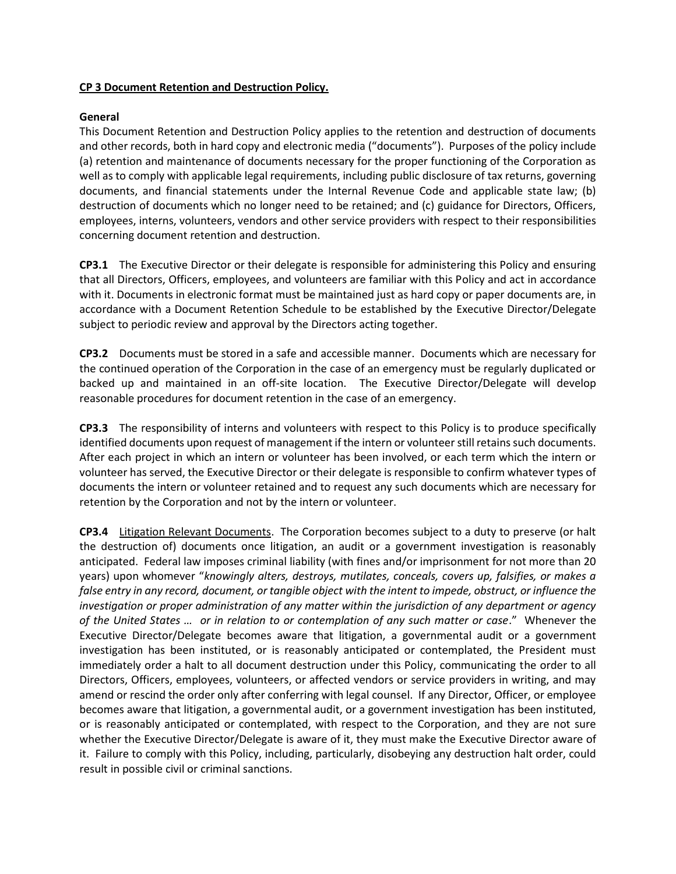## **CP 3 Document Retention and Destruction Policy.**

## **General**

This Document Retention and Destruction Policy applies to the retention and destruction of documents and other records, both in hard copy and electronic media ("documents"). Purposes of the policy include (a) retention and maintenance of documents necessary for the proper functioning of the Corporation as well as to comply with applicable legal requirements, including public disclosure of tax returns, governing documents, and financial statements under the Internal Revenue Code and applicable state law; (b) destruction of documents which no longer need to be retained; and (c) guidance for Directors, Officers, employees, interns, volunteers, vendors and other service providers with respect to their responsibilities concerning document retention and destruction.

**CP3.1** The Executive Director or their delegate is responsible for administering this Policy and ensuring that all Directors, Officers, employees, and volunteers are familiar with this Policy and act in accordance with it. Documents in electronic format must be maintained just as hard copy or paper documents are, in accordance with a Document Retention Schedule to be established by the Executive Director/Delegate subject to periodic review and approval by the Directors acting together.

**CP3.2** Documents must be stored in a safe and accessible manner. Documents which are necessary for the continued operation of the Corporation in the case of an emergency must be regularly duplicated or backed up and maintained in an off-site location. The Executive Director/Delegate will develop reasonable procedures for document retention in the case of an emergency.

**CP3.3** The responsibility of interns and volunteers with respect to this Policy is to produce specifically identified documents upon request of management if the intern or volunteer still retains such documents. After each project in which an intern or volunteer has been involved, or each term which the intern or volunteer has served, the Executive Director or their delegate is responsible to confirm whatever types of documents the intern or volunteer retained and to request any such documents which are necessary for retention by the Corporation and not by the intern or volunteer.

**CP3.4** Litigation Relevant Documents. The Corporation becomes subject to a duty to preserve (or halt the destruction of) documents once litigation, an audit or a government investigation is reasonably anticipated. Federal law imposes criminal liability (with fines and/or imprisonment for not more than 20 years) upon whomever "*knowingly alters, destroys, mutilates, conceals, covers up, falsifies, or makes a false entry in any record, document, or tangible object with the intent to impede, obstruct, or influence the investigation or proper administration of any matter within the jurisdiction of any department or agency of the United States … or in relation to or contemplation of any such matter or case*." Whenever the Executive Director/Delegate becomes aware that litigation, a governmental audit or a government investigation has been instituted, or is reasonably anticipated or contemplated, the President must immediately order a halt to all document destruction under this Policy, communicating the order to all Directors, Officers, employees, volunteers, or affected vendors or service providers in writing, and may amend or rescind the order only after conferring with legal counsel. If any Director, Officer, or employee becomes aware that litigation, a governmental audit, or a government investigation has been instituted, or is reasonably anticipated or contemplated, with respect to the Corporation, and they are not sure whether the Executive Director/Delegate is aware of it, they must make the Executive Director aware of it. Failure to comply with this Policy, including, particularly, disobeying any destruction halt order, could result in possible civil or criminal sanctions.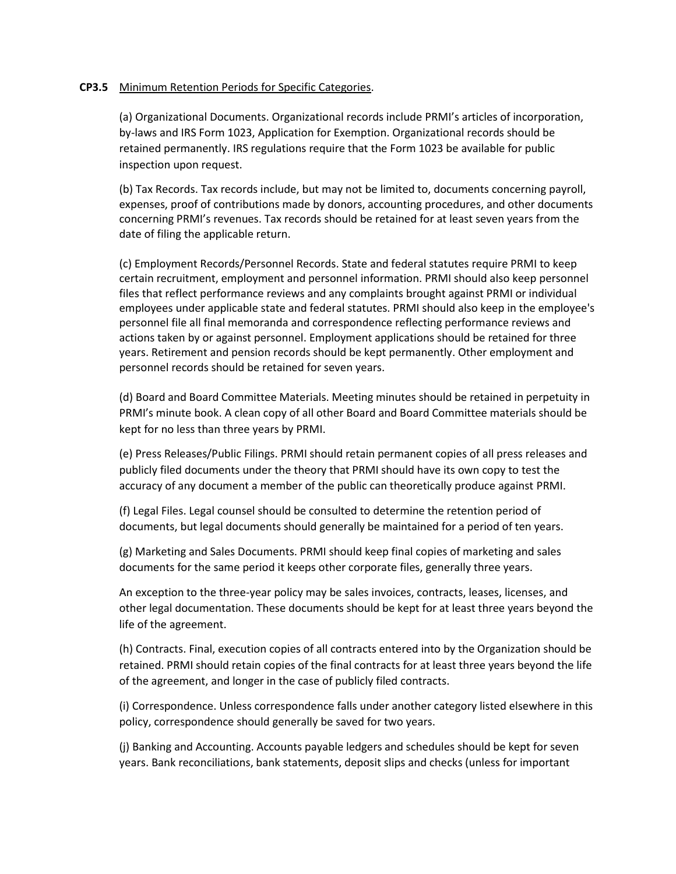## **CP3.5** Minimum Retention Periods for Specific Categories.

(a) Organizational Documents. Organizational records include PRMI's articles of incorporation, by-laws and IRS Form 1023, Application for Exemption. Organizational records should be retained permanently. IRS regulations require that the Form 1023 be available for public inspection upon request.

(b) Tax Records. Tax records include, but may not be limited to, documents concerning payroll, expenses, proof of contributions made by donors, accounting procedures, and other documents concerning PRMI's revenues. Tax records should be retained for at least seven years from the date of filing the applicable return.

(c) Employment Records/Personnel Records. State and federal statutes require PRMI to keep certain recruitment, employment and personnel information. PRMI should also keep personnel files that reflect performance reviews and any complaints brought against PRMI or individual employees under applicable state and federal statutes. PRMI should also keep in the employee's personnel file all final memoranda and correspondence reflecting performance reviews and actions taken by or against personnel. Employment applications should be retained for three years. Retirement and pension records should be kept permanently. Other employment and personnel records should be retained for seven years.

(d) Board and Board Committee Materials. Meeting minutes should be retained in perpetuity in PRMI's minute book. A clean copy of all other Board and Board Committee materials should be kept for no less than three years by PRMI.

(e) Press Releases/Public Filings. PRMI should retain permanent copies of all press releases and publicly filed documents under the theory that PRMI should have its own copy to test the accuracy of any document a member of the public can theoretically produce against PRMI.

(f) Legal Files. Legal counsel should be consulted to determine the retention period of documents, but legal documents should generally be maintained for a period of ten years.

(g) Marketing and Sales Documents. PRMI should keep final copies of marketing and sales documents for the same period it keeps other corporate files, generally three years.

An exception to the three-year policy may be sales invoices, contracts, leases, licenses, and other legal documentation. These documents should be kept for at least three years beyond the life of the agreement.

(h) Contracts. Final, execution copies of all contracts entered into by the Organization should be retained. PRMI should retain copies of the final contracts for at least three years beyond the life of the agreement, and longer in the case of publicly filed contracts.

(i) Correspondence. Unless correspondence falls under another category listed elsewhere in this policy, correspondence should generally be saved for two years.

(j) Banking and Accounting. Accounts payable ledgers and schedules should be kept for seven years. Bank reconciliations, bank statements, deposit slips and checks (unless for important